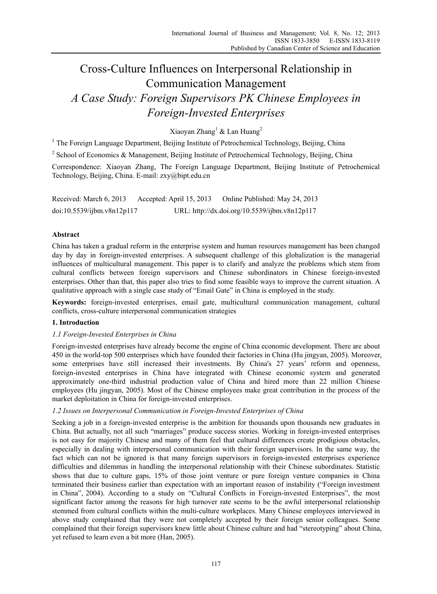# Cross-Culture Influences on Interpersonal Relationship in Communication Management

## *A Case Study: Foreign Supervisors PK Chinese Employees in Foreign-Invested Enterprises*

Xiaoyan Zhang<sup>1</sup> & Lan Huang<sup>2</sup>

<sup>1</sup> The Foreign Language Department, Beijing Institute of Petrochemical Technology, Beijing, China

<sup>2</sup> School of Economics & Management, Beijing Institute of Petrochemical Technology, Beijing, China

Correspondence: Xiaoyan Zhang, The Foreign Language Department, Beijing Institute of Petrochemical Technology, Beijing, China. E-mail: zxy@bipt.edu.cn

Received: March 6, 2013 Accepted: April 15, 2013 Online Published: May 24, 2013 doi:10.5539/ijbm.v8n12p117 URL: http://dx.doi.org/10.5539/ijbm.v8n12p117

## **Abstract**

China has taken a gradual reform in the enterprise system and human resources management has been changed day by day in foreign-invested enterprises. A subsequent challenge of this globalization is the managerial influences of multicultural management. This paper is to clarify and analyze the problems which stem from cultural conflicts between foreign supervisors and Chinese subordinators in Chinese foreign-invested enterprises. Other than that, this paper also tries to find some feasible ways to improve the current situation. A qualitative approach with a single case study of "Email Gate" in China is employed in the study.

**Keywords:** foreign-invested enterprises, email gate, multicultural communication management, cultural conflicts, cross-culture interpersonal communication strategies

## **1. Introduction**

## *1.1 Foreign-Invested Enterprises in China*

Foreign-invested enterprises have already become the engine of China economic development. There are about 450 in the world-top 500 enterprises which have founded their factories in China (Hu jingyan, 2005). Moreover, some enterprises have still increased their investments. By China's 27 years' reform and openness, foreign-invested enterprises in China have integrated with Chinese economic system and generated approximately one-third industrial production value of China and hired more than 22 million Chinese employees (Hu jingyan, 2005). Most of the Chinese employees make great contribution in the process of the market deploitation in China for foreign-invested enterprises.

## *1.2 Issues on Interpersonal Communication in Foreign-Invested Enterprises of China*

Seeking a job in a foreign-invested enterprise is the ambition for thousands upon thousands new graduates in China. But actually, not all such "marriages" produce success stories. Working in foreign-invested enterprises is not easy for majority Chinese and many of them feel that cultural differences create prodigious obstacles, especially in dealing with interpersonal communication with their foreign supervisors. In the same way, the fact which can not be ignored is that many foreign supervisors in foreign-invested enterprises experience difficulties and dilemmas in handling the interpersonal relationship with their Chinese subordinates. Statistic shows that due to culture gaps, 15% of those joint venture or pure foreign venture companies in China terminated their business earlier than expectation with an important reason of instability ("Foreign investment in China", 2004). According to a study on "Cultural Conflicts in Foreign-invested Enterprises", the most significant factor among the reasons for high turnover rate seems to be the awful interpersonal relationship stemmed from cultural conflicts within the multi-culture workplaces. Many Chinese employees interviewed in above study complained that they were not completely accepted by their foreign senior colleagues. Some complained that their foreign supervisors knew little about Chinese culture and had "stereotyping" about China, yet refused to learn even a bit more (Han, 2005).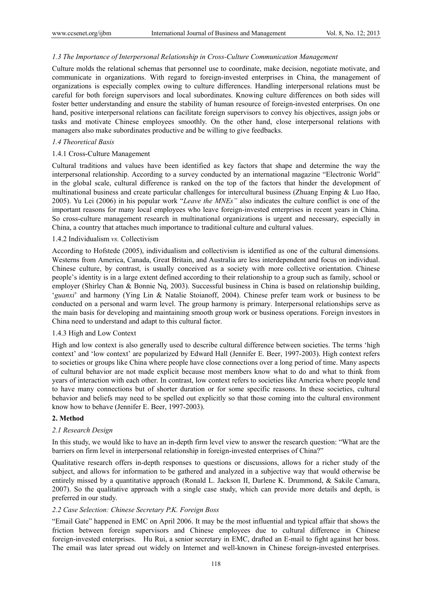#### *1.3 The Importance of Interpersonal Relationship in Cross-Culture Communication Management*

Culture molds the relational schemas that personnel use to coordinate, make decision, negotiate motivate, and communicate in organizations. With regard to foreign-invested enterprises in China, the management of organizations is especially complex owing to culture differences. Handling interpersonal relations must be careful for both foreign supervisors and local subordinates. Knowing culture differences on both sides will foster better understanding and ensure the stability of human resource of foreign-invested enterprises. On one hand, positive interpersonal relations can facilitate foreign supervisors to convey his objectives, assign jobs or tasks and motivate Chinese employees smoothly. On the other hand, close interpersonal relations with managers also make subordinates productive and be willing to give feedbacks.

#### *1.4 Theoretical Basis*

#### 1.4.1 Cross-Culture Management

Cultural traditions and values have been identified as key factors that shape and determine the way the interpersonal relationship. According to a survey conducted by an international magazine "Electronic World" in the global scale, cultural difference is ranked on the top of the factors that hinder the development of multinational business and create particular challenges for intercultural business (Zhuang Enping & Luo Hao, 2005). Yu Lei (2006) in his popular work "*Leave the MNEs"* also indicates the culture conflict is one of the important reasons for many local employees who leave foreign-invested enterprises in recent years in China. So cross-culture management research in multinational organizations is urgent and necessary, especially in China, a country that attaches much importance to traditional culture and cultural values.

#### 1.4.2 Individualism *vs.* Collectivism

According to Hofstede (2005), individualism and collectivism is identified as one of the cultural dimensions. Westerns from America, Canada, Great Britain, and Australia are less interdependent and focus on individual. Chinese culture, by contrast, is usually conceived as a society with more collective orientation. Chinese people's identity is in a large extent defined according to their relationship to a group such as family, school or employer (Shirley Chan & Bonnie Nq, 2003). Successful business in China is based on relationship building, '*guanxi*' and harmony (Ying Lin & Natalie Stoianoff, 2004). Chinese prefer team work or business to be conducted on a personal and warm level. The group harmony is primary. Interpersonal relationships serve as the main basis for developing and maintaining smooth group work or business operations. Foreign investors in China need to understand and adapt to this cultural factor.

#### 1.4.3 High and Low Context

High and low context is also generally used to describe cultural difference between societies. The terms 'high context' and 'low context' are popularized by Edward Hall (Jennifer E. Beer, 1997-2003). High context refers to societies or groups like China where people have close connections over a long period of time. Many aspects of cultural behavior are not made explicit because most members know what to do and what to think from years of interaction with each other. In contrast, low context refers to societies like America where people tend to have many connections but of shorter duration or for some specific reasons. In these societies, cultural behavior and beliefs may need to be spelled out explicitly so that those coming into the cultural environment know how to behave (Jennifer E. Beer, 1997-2003).

#### **2. Method**

#### *2.1 Research Design*

In this study, we would like to have an in-depth firm level view to answer the research question: "What are the barriers on firm level in interpersonal relationship in foreign-invested enterprises of China?"

Qualitative research offers in-depth responses to questions or discussions, allows for a richer study of the subject, and allows for information to be gathered and analyzed in a subjective way that would otherwise be entirely missed by a quantitative approach (Ronald L. Jackson II, Darlene K. Drummond, & Sakile Camara, 2007). So the qualitative approach with a single case study, which can provide more details and depth, is preferred in our study.

## *2.2 Case Selection: Chinese Secretary P.K. Foreign Boss*

"Email Gate" happened in EMC on April 2006. It may be the most influential and typical affair that shows the friction between foreign supervisors and Chinese employees due to cultural difference in Chinese foreign-invested enterprises. Hu Rui, a senior secretary in EMC, drafted an E-mail to fight against her boss. The email was later spread out widely on Internet and well-known in Chinese foreign-invested enterprises.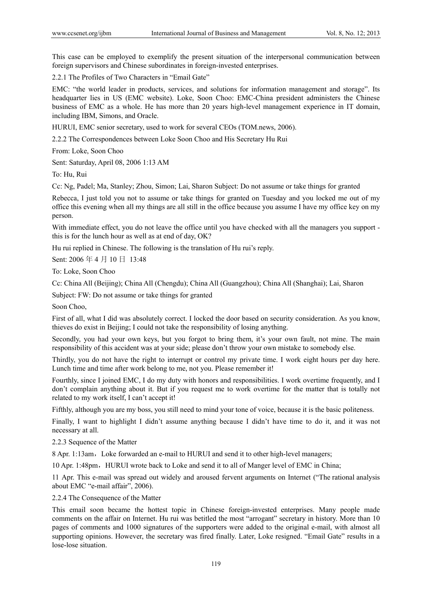This case can be employed to exemplify the present situation of the interpersonal communication between foreign supervisors and Chinese subordinates in foreign-invested enterprises.

2.2.1 The Profiles of Two Characters in "Email Gate"

EMC: "the world leader in products, services, and solutions for information management and storage". Its headquarter lies in US (EMC website). Loke, Soon Choo: EMC-China president administers the Chinese business of EMC as a whole. He has more than 20 years high-level management experience in IT domain, including IBM, Simons, and Oracle.

HURUI, EMC senior secretary, used to work for several CEOs (TOM.news, 2006).

2.2.2 The Correspondences between Loke Soon Choo and His Secretary Hu Rui

From: Loke, Soon Choo

Sent: Saturday, April 08, 2006 1:13 AM

To: Hu, Rui

Cc: Ng, Padel; Ma, Stanley; Zhou, Simon; Lai, Sharon Subject: Do not assume or take things for granted

Rebecca, I just told you not to assume or take things for granted on Tuesday and you locked me out of my office this evening when all my things are all still in the office because you assume I have my office key on my person.

With immediate effect, you do not leave the office until you have checked with all the managers you support this is for the lunch hour as well as at end of day, OK?

Hu rui replied in Chinese. The following is the translation of Hu rui's reply.

Sent: 2006 年 4 月 10 日 13:48

To: Loke, Soon Choo

Cc: China All (Beijing); China All (Chengdu); China All (Guangzhou); China All (Shanghai); Lai, Sharon

Subject: FW: Do not assume or take things for granted

Soon Choo,

First of all, what I did was absolutely correct. I locked the door based on security consideration. As you know, thieves do exist in Beijing; I could not take the responsibility of losing anything.

Secondly, you had your own keys, but you forgot to bring them, it's your own fault, not mine. The main responsibility of this accident was at your side; please don't throw your own mistake to somebody else.

Thirdly, you do not have the right to interrupt or control my private time. I work eight hours per day here. Lunch time and time after work belong to me, not you. Please remember it!

Fourthly, since I joined EMC, I do my duty with honors and responsibilities. I work overtime frequently, and I don't complain anything about it. But if you request me to work overtime for the matter that is totally not related to my work itself, I can't accept it!

Fifthly, although you are my boss, you still need to mind your tone of voice, because it is the basic politeness.

Finally, I want to highlight I didn't assume anything because I didn't have time to do it, and it was not necessary at all.

2.2.3 Sequence of the Matter

8 Apr. 1:13am, Loke forwarded an e-mail to HURUI and send it to other high-level managers;

10 Apr. 1:48pm, HURUI wrote back to Loke and send it to all of Manger level of EMC in China;

11 Apr. This e-mail was spread out widely and aroused fervent arguments on Internet ("The rational analysis about EMC "e-mail affair", 2006).

## 2.2.4 The Consequence of the Matter

This email soon became the hottest topic in Chinese foreign-invested enterprises. Many people made comments on the affair on Internet. Hu rui was betitled the most "arrogant" secretary in history. More than 10 pages of comments and 1000 signatures of the supporters were added to the original e-mail, with almost all supporting opinions. However, the secretary was fired finally. Later, Loke resigned. "Email Gate" results in a lose-lose situation.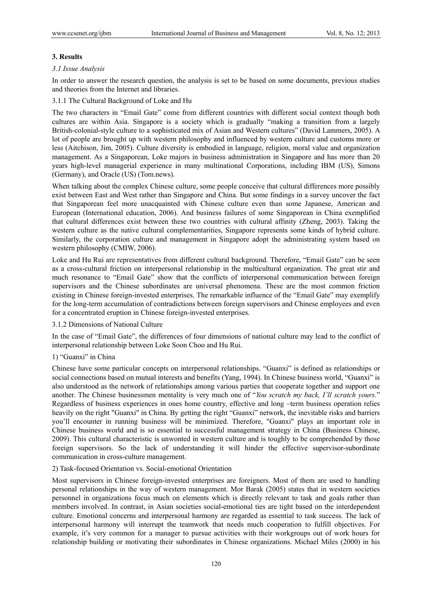## **3. Results**

## *3.1 Issue Analysis*

In order to answer the research question, the analysis is set to be based on some documents, previous studies and theories from the Internet and libraries.

## 3.1.1 The Cultural Background of Loke and Hu

The two characters in "Email Gate" come from different countries with different social context though both cultures are within Asia. Singapore is a society which is gradually "making a transition from a largely British-colonial-style culture to a sophisticated mix of Asian and Western cultures" (David Lammers, 2005). A lot of people are brought up with western philosophy and influenced by western culture and customs more or less (Aitchison, Jim, 2005). Culture diversity is embodied in language, religion, moral value and organization management. As a Singaporean, Loke majors in business administration in Singapore and has more than 20 years high-level managerial experience in many multinational Corporations, including IBM (US), Simons (Germany), and Oracle (US) (Tom.news).

When talking about the complex Chinese culture, some people conceive that cultural differences more possibly exist between East and West rather than Singapore and China. But some findings in a survey uncover the fact that Singaporean feel more unacquainted with Chinese culture even than some Japanese, American and European (International education, 2006). And business failures of some Singaporean in China exemplified that cultural differences exist between these two countries with cultural affinity (Zheng, 2003). Taking the western culture as the native cultural complementarities, Singapore represents some kinds of hybrid culture. Similarly, the corporation culture and management in Singapore adopt the administrating system based on western philosophy (CMIW, 2006).

Loke and Hu Rui are representatives from different cultural background. Therefore, "Email Gate" can be seen as a cross-cultural friction on interpersonal relationship in the multicultural organization. The great stir and much resonance to "Email Gate" show that the conflicts of interpersonal communication between foreign supervisors and the Chinese subordinates are universal phenomena. These are the most common friction existing in Chinese foreign-invested enterprises. The remarkable influence of the "Email Gate" may exemplify for the long-term accumulation of contradictions between foreign supervisors and Chinese employees and even for a concentrated eruption in Chinese foreign-invested enterprises.

## 3.1.2 Dimensions of National Culture

In the case of "Email Gate", the differences of four dimensions of national culture may lead to the conflict of interpersonal relationship between Loke Soon Choo and Hu Rui.

## 1) "Guanxi" in China

Chinese have some particular concepts on interpersonal relationships. "Guanxi" is defined as relationships or social connections based on mutual interests and benefits (Yang, 1994). In Chinese business world, "Guanxi" is also understood as the network of relationships among various parties that cooperate together and support one another. The Chinese businessmen mentality is very much one of "*You scratch my back, I'll scratch yours.*" Regardless of business experiences in ones home country, effective and long –term business operation relies heavily on the right "Guanxi" in China. By getting the right "Guanxi" network, the inevitable risks and barriers you'll encounter in running business will be minimized. Therefore, "Guanxi" plays an important role in Chinese business world and is so essential to successful management strategy in China (Business Chinese, 2009). This cultural characteristic is unwonted in western culture and is toughly to be comprehended by those foreign supervisors. So the lack of understanding it will hinder the effective supervisor-subordinate communication in cross-culture management.

## 2) Task-focused Orientation vs. Social-emotional Orientation

Most supervisors in Chinese foreign-invested enterprises are foreigners. Most of them are used to handling personal relationships in the way of western management. Mor Barak (2005) states that in western societies personnel in organizations focus much on elements which is directly relevant to task and goals rather than members involved. In contrast, in Asian societies social-emotional ties are tight based on the interdependent culture. Emotional concerns and interpersonal harmony are regarded as essential to task success. The lack of interpersonal harmony will interrupt the teamwork that needs much cooperation to fulfill objectives. For example, it's very common for a manager to pursue activities with their workgroups out of work hours for relationship building or motivating their subordinates in Chinese organizations. Michael Miles (2000) in his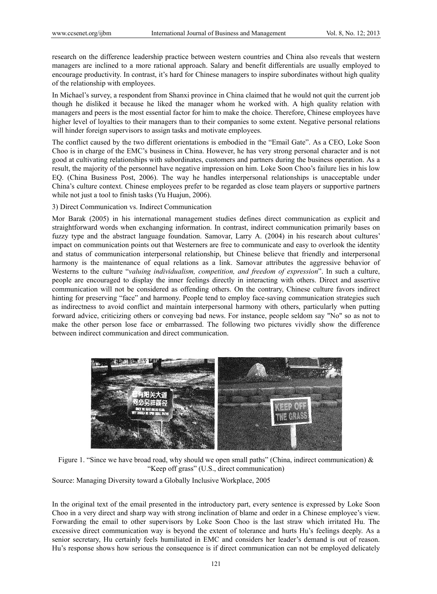research on the difference leadership practice between western countries and China also reveals that western managers are inclined to a more rational approach. Salary and benefit differentials are usually employed to encourage productivity. In contrast, it's hard for Chinese managers to inspire subordinates without high quality of the relationship with employees.

In Michael's survey, a respondent from Shanxi province in China claimed that he would not quit the current job though he disliked it because he liked the manager whom he worked with. A high quality relation with managers and peers is the most essential factor for him to make the choice. Therefore, Chinese employees have higher level of loyalties to their managers than to their companies to some extent. Negative personal relations will hinder foreign supervisors to assign tasks and motivate employees.

The conflict caused by the two different orientations is embodied in the "Email Gate". As a CEO, Loke Soon Choo is in charge of the EMC's business in China. However, he has very strong personal character and is not good at cultivating relationships with subordinates, customers and partners during the business operation. As a result, the majority of the personnel have negative impression on him. Loke Soon Choo's failure lies in his low EQ. (China Business Post, 2006). The way he handles interpersonal relationships is unacceptable under China's culture context. Chinese employees prefer to be regarded as close team players or supportive partners while not just a tool to finish tasks (Yu Huajun, 2006).

#### 3) Direct Communication vs. Indirect Communication

Mor Barak (2005) in his international management studies defines direct communication as explicit and straightforward words when exchanging information. In contrast, indirect communication primarily bases on fuzzy type and the abstract language foundation. Samovar, Larry A. (2004) in his research about cultures' impact on communication points out that Westerners are free to communicate and easy to overlook the identity and status of communication interpersonal relationship, but Chinese believe that friendly and interpersonal harmony is the maintenance of equal relations as a link. Samovar attributes the aggressive behavior of Westerns to the culture "*valuing individualism, competition, and freedom of expression*". In such a culture, people are encouraged to display the inner feelings directly in interacting with others. Direct and assertive communication will not be considered as offending others. On the contrary, Chinese culture favors indirect hinting for preserving "face" and harmony. People tend to employ face-saving communication strategies such as indirectness to avoid conflict and maintain interpersonal harmony with others, particularly when putting forward advice, criticizing others or conveying bad news. For instance, people seldom say "No" so as not to make the other person lose face or embarrassed. The following two pictures vividly show the difference between indirect communication and direct communication.



Figure 1. "Since we have broad road, why should we open small paths" (China, indirect communication)  $\&$ "Keep off grass" (U.S., direct communication)

Source: Managing Diversity toward a Globally Inclusive Workplace, 2005

In the original text of the email presented in the introductory part, every sentence is expressed by Loke Soon Choo in a very direct and sharp way with strong inclination of blame and order in a Chinese employee's view. Forwarding the email to other supervisors by Loke Soon Choo is the last straw which irritated Hu. The excessive direct communication way is beyond the extent of tolerance and hurts Hu's feelings deeply. As a senior secretary, Hu certainly feels humiliated in EMC and considers her leader's demand is out of reason. Hu's response shows how serious the consequence is if direct communication can not be employed delicately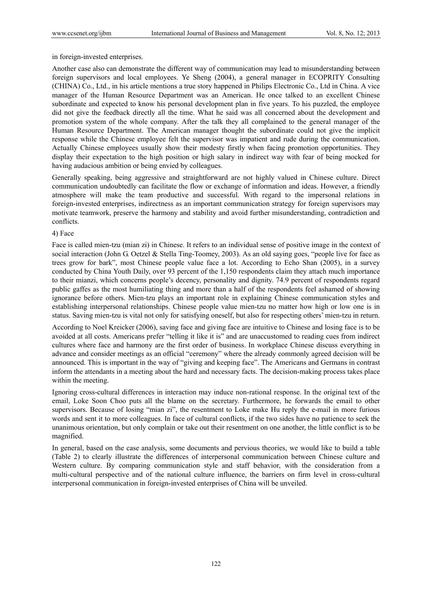in foreign-invested enterprises.

Another case also can demonstrate the different way of communication may lead to misunderstanding between foreign supervisors and local employees. Ye Sheng (2004), a general manager in ECOPRITY Consulting (CHINA) Co., Ltd., in his article mentions a true story happened in Philips Electronic Co., Ltd in China. A vice manager of the Human Resource Department was an American. He once talked to an excellent Chinese subordinate and expected to know his personal development plan in five years. To his puzzled, the employee did not give the feedback directly all the time. What he said was all concerned about the development and promotion system of the whole company. After the talk they all complained to the general manager of the Human Resource Department. The American manager thought the subordinate could not give the implicit response while the Chinese employee felt the supervisor was impatient and rude during the communication. Actually Chinese employees usually show their modesty firstly when facing promotion opportunities. They display their expectation to the high position or high salary in indirect way with fear of being mocked for having audacious ambition or being envied by colleagues.

Generally speaking, being aggressive and straightforward are not highly valued in Chinese culture. Direct communication undoubtedly can facilitate the flow or exchange of information and ideas. However, a friendly atmosphere will make the team productive and successful. With regard to the impersonal relations in foreign-invested enterprises, indirectness as an important communication strategy for foreign supervisors may motivate teamwork, preserve the harmony and stability and avoid further misunderstanding, contradiction and conflicts.

#### 4) Face

Face is called mien-tzu (mian zi) in Chinese. It refers to an individual sense of positive image in the context of social interaction (John G. Oetzel & Stella Ting-Toomey, 2003). As an old saying goes, "people live for face as trees grow for bark", most Chinese people value face a lot. According to Echo Shan (2005), in a survey conducted by China Youth Daily, over 93 percent of the 1,150 respondents claim they attach much importance to their mianzi, which concerns people's decency, personality and dignity. 74.9 percent of respondents regard public gaffes as the most humiliating thing and more than a half of the respondents feel ashamed of showing ignorance before others. Mien-tzu plays an important role in explaining Chinese communication styles and establishing interpersonal relationships. Chinese people value mien-tzu no matter how high or low one is in status. Saving mien-tzu is vital not only for satisfying oneself, but also for respecting others' mien-tzu in return.

According to Noel Kreicker (2006), saving face and giving face are intuitive to Chinese and losing face is to be avoided at all costs. Americans prefer "telling it like it is" and are unaccustomed to reading cues from indirect cultures where face and harmony are the first order of business. In workplace Chinese discuss everything in advance and consider meetings as an official "ceremony" where the already commonly agreed decision will be announced. This is important in the way of "giving and keeping face". The Americans and Germans in contrast inform the attendants in a meeting about the hard and necessary facts. The decision-making process takes place within the meeting.

Ignoring cross-cultural differences in interaction may induce non-rational response. In the original text of the email, Loke Soon Choo puts all the blame on the secretary. Furthermore, he forwards the email to other supervisors. Because of losing "mian zi", the resentment to Loke make Hu reply the e-mail in more furious words and sent it to more colleagues. In face of cultural conflicts, if the two sides have no patience to seek the unanimous orientation, but only complain or take out their resentment on one another, the little conflict is to be magnified.

In general, based on the case analysis, some documents and pervious theories, we would like to build a table (Table 2) to clearly illustrate the differences of interpersonal communication between Chinese culture and Western culture. By comparing communication style and staff behavior, with the consideration from a multi-cultural perspective and of the national culture influence, the barriers on firm level in cross-cultural interpersonal communication in foreign-invested enterprises of China will be unveiled.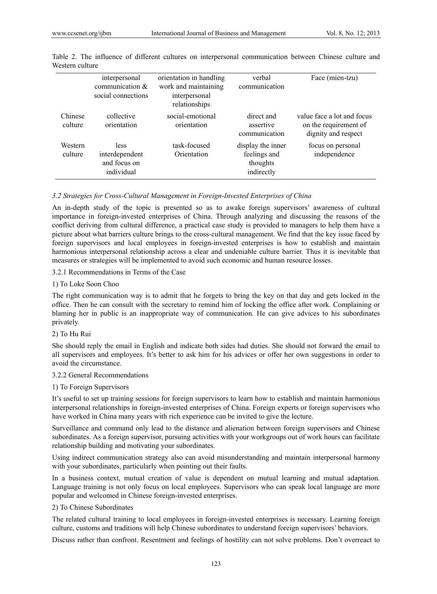|                    | interpersonal<br>communication $&$<br>social connections    | orientation in handling<br>work and maintaining<br>interpersonal<br>relationships | verbal<br>communication                                     | Face (mien-tzu)                                                            |
|--------------------|-------------------------------------------------------------|-----------------------------------------------------------------------------------|-------------------------------------------------------------|----------------------------------------------------------------------------|
| Chinese<br>culture | collective<br>orientation                                   | social-emotional<br>orientation                                                   | direct and<br>assertive<br>communication                    | value face a lot and focus<br>on the requirement of<br>dignity and respect |
| Western<br>culture | <b>less</b><br>interdependent<br>and focus on<br>individual | task-focused<br>Orientation                                                       | display the inner<br>feelings and<br>thoughts<br>indirectly | focus on personal<br>independence                                          |

Table 2. The influence of different cultures on interpersonal communication between Chinese culture and Western culture

#### *3.2 Strategies for Cross-Cultural Management in Foreign-Invested Enterprises of China*

An in-depth study of the topic is presented so as to awake foreign supervisors' awareness of cultural importance in foreign-invested enterprises of China. Through analyzing and discussing the reasons of the conflict deriving from cultural difference, a practical case study is provided to managers to help them have a picture about what barriers culture brings to the cross-cultural management. We find that the key issue faced by foreign supervisors and local employees in foreign-invested enterprises is how to establish and maintain harmonious interpersonal relationship across a clear and undeniable culture barrier. Thus it is inevitable that measures or strategies will be implemented to avoid such economic and human resource losses.

### 3.2.1 Recommendations in Terms of the Case

#### 1) To Loke Soon Choo

The right communication way is to admit that he forgets to bring the key on that day and gets locked in the office. Then he can consult with the secretary to remind him of locking the office after work. Complaining or blaming her in public is an inappropriate way of communication. He can give advices to his subordinates privately.

#### 2) To Hu Rui

She should reply the email in English and indicate both sides had duties. She should not forward the email to all supervisors and employees. It's better to ask him for his advices or offer her own suggestions in order to avoid the circumstance.

## 3.2.2 General Recommendations

#### 1) To Foreign Supervisors

It's useful to set up training sessions for foreign supervisors to learn how to establish and maintain harmonious interpersonal relationships in foreign-invested enterprises of China. Foreign experts or foreign supervisors who have worked in China many years with rich experience can be invited to give the lecture.

Surveillance and command only lead to the distance and alienation between foreign supervisors and Chinese subordinates. As a foreign supervisor, pursuing activities with your workgroups out of work hours can facilitate relationship building and motivating your subordinates.

Using indirect communication strategy also can avoid misunderstanding and maintain interpersonal harmony with your subordinates, particularly when pointing out their faults.

In a business context, mutual creation of value is dependent on mutual learning and mutual adaptation. Language training is not only focus on local employees. Supervisors who can speak local language are more popular and welcomed in Chinese foreign-invested enterprises.

#### 2) To Chinese Subordinates

The related cultural training to local employees in foreign-invested enterprises is necessary. Learning foreign culture, customs and traditions will help Chinese subordinates to understand foreign supervisors' behaviors.

Discuss rather than confront. Resentment and feelings of hostility can not solve problems. Don't overreact to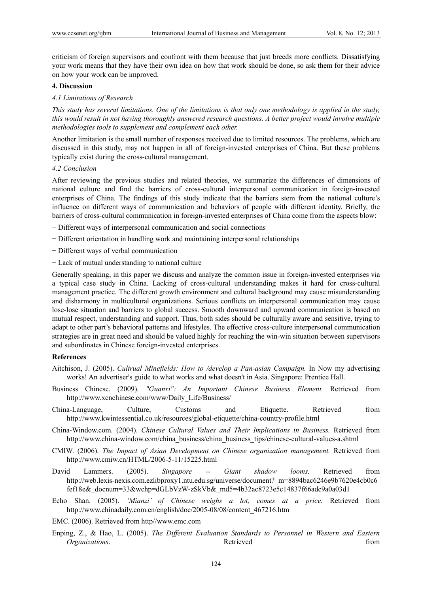criticism of foreign supervisors and confront with them because that just breeds more conflicts. Dissatisfying your work means that they have their own idea on how that work should be done, so ask them for their advice on how your work can be improved.

#### **4. Discussion**

### *4.1 Limitations of Research*

*This study has several limitations. One of the limitations is that only one methodology is applied in the study, this would result in not having thoroughly answered research questions. A better project would involve multiple methodologies tools to supplement and complement each other.* 

Another limitation is the small number of responses received due to limited resources. The problems, which are discussed in this study, may not happen in all of foreign-invested enterprises of China. But these problems typically exist during the cross-cultural management.

#### *4.2 Conclusion*

After reviewing the previous studies and related theories, we summarize the differences of dimensions of national culture and find the barriers of cross-cultural interpersonal communication in foreign-invested enterprises of China. The findings of this study indicate that the barriers stem from the national culture's influence on different ways of communication and behaviors of people with different identity. Briefly, the barriers of cross-cultural communication in foreign-invested enterprises of China come from the aspects blow:

- − Different ways of interpersonal communication and social connections
- − Different orientation in handling work and maintaining interpersonal relationships
- − Different ways of verbal communication
- − Lack of mutual understanding to national culture

Generally speaking, in this paper we discuss and analyze the common issue in foreign-invested enterprises via a typical case study in China. Lacking of cross-cultural understanding makes it hard for cross-cultural management practice. The different growth environment and cultural background may cause misunderstanding and disharmony in multicultural organizations. Serious conflicts on interpersonal communication may cause lose-lose situation and barriers to global success. Smooth downward and upward communication is based on mutua**l** respect, understanding and support. Thus, both sides should be culturally aware and sensitive, trying to adapt to other part's behavioral patterns and lifestyles. The effective cross-culture interpersonal communication strategies are in great need and should be valued highly for reaching the win-win situation between supervisors and subordinates in Chinese foreign-invested enterprises.

#### **References**

- Aitchison, J. (2005). *Cultrual Minefields: How to /develop a Pan-asian Campaign.* In Now my advertising works! An advertiser's guide to what works and what doesn't in Asia. Singapore: Prentice Hall.
- Business Chinese. (2009). *"Guanxi": An Important Chinese Business Element.* Retrieved from http://www.xcnchinese.com/www/Daily\_Life/Business/
- China-Language, Culture, Customs and Etiquette. Retrieved from http://www.kwintessential.co.uk/resources/global-etiquette/china-country-profile.html
- China-Window.com. (2004). *Chinese Cultural Values and Their Implications in Business.* Retrieved from http://www.china-window.com/china\_business/china\_business\_tips/chinese-cultural-values-a.shtml
- CMIW. (2006). *The Impact of Asian Development on Chinese organization management.* Retrieved from http://www.cmiw.cn/HTML/2006-5-11/15225.html
- David Lammers. (2005). *Singapore -- Giant shadow looms.* Retrieved from http://web.lexis-nexis.com.ezlibproxy1.ntu.edu.sg/universe/document?\_m=8894bac6246e9b7620e4cb0c6 fef18e&\_docnum=33&wchp=dGLbVzW-zSkVb&\_md5=4b32ac8723e5c14837f66adc9a0a03d1
- Echo Shan. (2005). *'Mianzi' of Chinese weighs a lot, comes at a price.* Retrieved from http://www.chinadaily.com.cn/english/doc/2005-08/08/content\_467216.htm
- EMC. (2006). Retrieved from http//www.emc.com
- Enping, Z., & Hao, L. (2005). *The Different Evaluation Standards to Personnel in Western and Eastern Organizations*. The contractions of the contractions of the Retrieved from  $\mathbb{R}$  etniced from  $\mathbb{R}$  etnic  $\mathbb{R}$  and  $\mathbb{R}$  etnic  $\mathbb{R}$  etnic  $\mathbb{R}$  etnic  $\mathbb{R}$  etnic  $\mathbb{R}$  etnic  $\mathbb{R}$  etnic  $\mathbb{R$